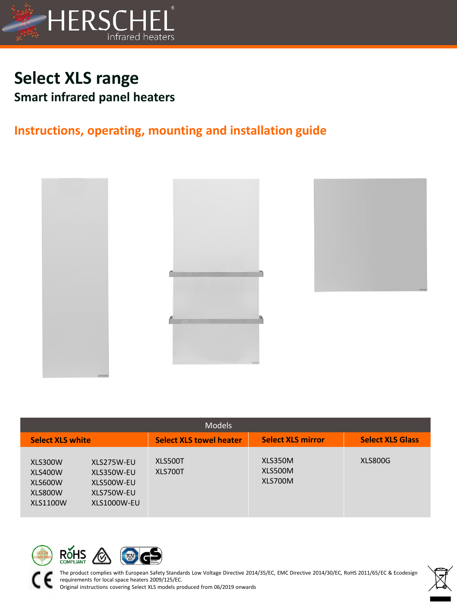

# **Select XLS range Smart infrared panel heaters**

# **Instructions, operating, mounting and installation guide**



| <b>Models</b>                                               |                                                                     |                                |                               |                         |  |  |
|-------------------------------------------------------------|---------------------------------------------------------------------|--------------------------------|-------------------------------|-------------------------|--|--|
| <b>Select XLS white</b>                                     |                                                                     | <b>Select XLS towel heater</b> | <b>Select XLS mirror</b>      | <b>Select XLS Glass</b> |  |  |
| XLS300W<br>XLS400W<br>XLS600W<br>XLS800W<br><b>XLS1100W</b> | XLS275W-EU<br>XLS350W-EU<br>XLS500W-EU<br>XLS750W-EU<br>XLS1000W-EU | XLS500T<br>XLS700T             | XLS350M<br>XLS500M<br>XLS700M | XLS800G                 |  |  |





The product complies with European Safety Standards Low Voltage Directive 2014/35/EC, EMC Directive 2014/30/EC, RoHS 2011/65/EC & Ecodesign requirements for local space heaters 2009/125/EC.

Original instructions covering Select XLS models produced from 06/2019 onwards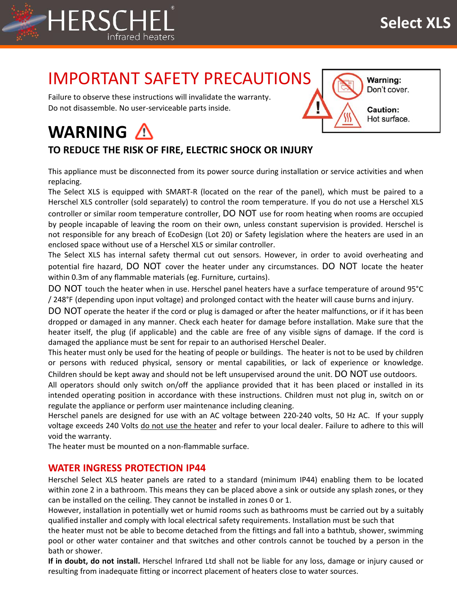

# IMPORTANT SAFETY PRECAUTIONS

Failure to observe these instructions will invalidate the warranty. Do not disassemble. No user-serviceable parts inside.



### **TO REDUCE THE RISK OF FIRE, ELECTRIC SHOCK OR INJURY**

This appliance must be disconnected from its power source during installation or service activities and when replacing.

The Select XLS is equipped with SMART-R (located on the rear of the panel), which must be paired to a Herschel XLS controller (sold separately) to control the room temperature. If you do not use a Herschel XLS controller or similar room temperature controller, DO NOT use for room heating when rooms are occupied by people incapable of leaving the room on their own, unless constant supervision is provided. Herschel is not responsible for any breach of EcoDesign (Lot 20) or Safety legislation where the heaters are used in an enclosed space without use of a Herschel XLS or similar controller.

The Select XLS has internal safety thermal cut out sensors. However, in order to avoid overheating and potential fire hazard, DO NOT cover the heater under any circumstances. DO NOT locate the heater within 0.3m of any flammable materials (eg. Furniture, curtains).

DO NOT touch the heater when in use. Herschel panel heaters have a surface temperature of around 95°C / 248°F (depending upon input voltage) and prolonged contact with the heater will cause burns and injury.

DO NOT operate the heater if the cord or plug is damaged or after the heater malfunctions, or if it has been dropped or damaged in any manner. Check each heater for damage before installation. Make sure that the heater itself, the plug (if applicable) and the cable are free of any visible signs of damage. If the cord is damaged the appliance must be sent for repair to an authorised Herschel Dealer.

This heater must only be used for the heating of people or buildings. The heater is not to be used by children or persons with reduced physical, sensory or mental capabilities, or lack of experience or knowledge. Children should be kept away and should not be left unsupervised around the unit. DO NOT use outdoors.

All operators should only switch on/off the appliance provided that it has been placed or installed in its intended operating position in accordance with these instructions. Children must not plug in, switch on or regulate the appliance or perform user maintenance including cleaning.

Herschel panels are designed for use with an AC voltage between 220-240 volts, 50 Hz AC. If your supply voltage exceeds 240 Volts do not use the heater and refer to your local dealer. Failure to adhere to this will void the warranty.

The heater must be mounted on a non-flammable surface.

#### **WATER INGRESS PROTECTION IP44**

Herschel Select XLS heater panels are rated to a standard (minimum IP44) enabling them to be located within zone 2 in a bathroom. This means they can be placed above a sink or outside any splash zones, or they can be installed on the ceiling. They cannot be installed in zones 0 or 1.

However, installation in potentially wet or humid rooms such as bathrooms must be carried out by a suitably qualified installer and comply with local electrical safety requirements. Installation must be such that

the heater must not be able to become detached from the fittings and fall into a bathtub, shower, swimming pool or other water container and that switches and other controls cannot be touched by a person in the bath or shower.

**If in doubt, do not install.** Herschel Infrared Ltd shall not be liable for any loss, damage or injury caused or resulting from inadequate fitting or incorrect placement of heaters close to water sources.



Don't cover.

Hot surface.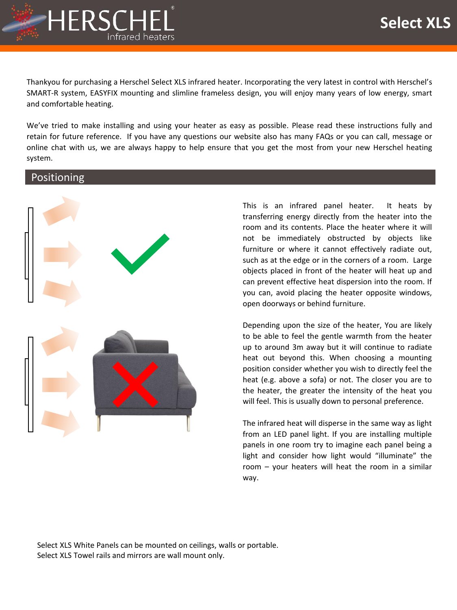

Thankyou for purchasing a Herschel Select XLS infrared heater. Incorporating the very latest in control with Herschel's SMART-R system, EASYFIX mounting and slimline frameless design, you will enjoy many years of low energy, smart and comfortable heating.

We've tried to make installing and using your heater as easy as possible. Please read these instructions fully and retain for future reference. If you have any questions our website also has many FAQs or you can call, message or online chat with us, we are always happy to help ensure that you get the most from your new Herschel heating system.

#### Positioning



This is an infrared panel heater. It heats by transferring energy directly from the heater into the room and its contents. Place the heater where it will not be immediately obstructed by objects like furniture or where it cannot effectively radiate out, such as at the edge or in the corners of a room. Large objects placed in front of the heater will heat up and can prevent effective heat dispersion into the room. If you can, avoid placing the heater opposite windows, open doorways or behind furniture.

Depending upon the size of the heater, You are likely to be able to feel the gentle warmth from the heater up to around 3m away but it will continue to radiate heat out beyond this. When choosing a mounting position consider whether you wish to directly feel the heat (e.g. above a sofa) or not. The closer you are to the heater, the greater the intensity of the heat you will feel. This is usually down to personal preference.

The infrared heat will disperse in the same way as light from an LED panel light. If you are installing multiple panels in one room try to imagine each panel being a light and consider how light would "illuminate" the room – your heaters will heat the room in a similar way.

Select XLS White Panels can be mounted on ceilings, walls or portable. Select XLS Towel rails and mirrors are wall mount only.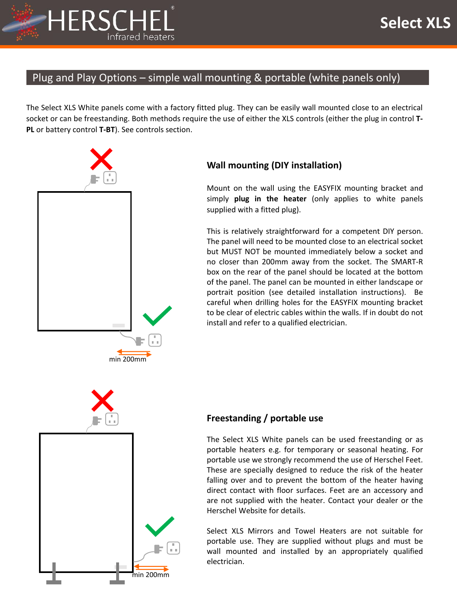

### Plug and Play Options – simple wall mounting & portable (white panels only)

The Select XLS White panels come with a factory fitted plug. They can be easily wall mounted close to an electrical socket or can be freestanding. Both methods require the use of either the XLS controls (either the plug in control **T-PL** or battery control **T-BT**). See controls section.



### **Wall mounting (DIY installation)**

Mount on the wall using the EASYFIX mounting bracket and simply **plug in the heater** (only applies to white panels supplied with a fitted plug).

This is relatively straightforward for a competent DIY person. The panel will need to be mounted close to an electrical socket but MUST NOT be mounted immediately below a socket and no closer than 200mm away from the socket. The SMART-R box on the rear of the panel should be located at the bottom of the panel. The panel can be mounted in either landscape or portrait position (see detailed installation instructions). Be careful when drilling holes for the EASYFIX mounting bracket to be clear of electric cables within the walls. If in doubt do not install and refer to a qualified electrician.



### **Freestanding / portable use**

The Select XLS White panels can be used freestanding or as portable heaters e.g. for temporary or seasonal heating. For portable use we strongly recommend the use of Herschel Feet. These are specially designed to reduce the risk of the heater falling over and to prevent the bottom of the heater having direct contact with floor surfaces. Feet are an accessory and are not supplied with the heater. Contact your dealer or the Herschel Website for details.

Select XLS Mirrors and Towel Heaters are not suitable for portable use. They are supplied without plugs and must be wall mounted and installed by an appropriately qualified electrician.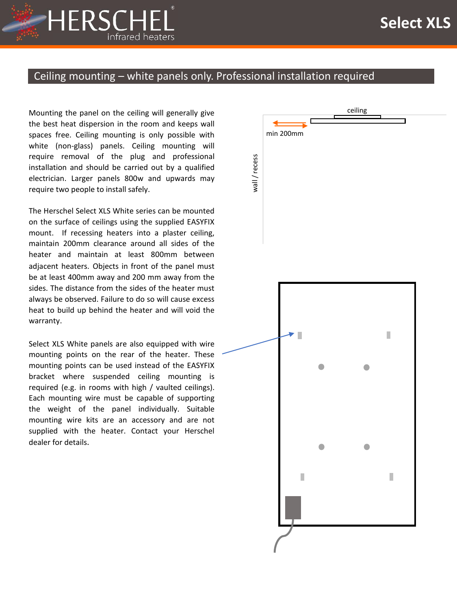

### Ceiling mounting – white panels only. Professional installation required

Mounting the panel on the ceiling will generally give the best heat dispersion in the room and keeps wall spaces free. Ceiling mounting is only possible with white (non-glass) panels. Ceiling mounting will require removal of the plug and professional installation and should be carried out by a qualified electrician. Larger panels 800w and upwards may require two people to install safely.

The Herschel Select XLS White series can be mounted on the surface of ceilings using the supplied EASYFIX mount. If recessing heaters into a plaster ceiling, maintain 200mm clearance around all sides of the heater and maintain at least 800mm between adjacent heaters. Objects in front of the panel must be at least 400mm away and 200 mm away from the sides. The distance from the sides of the heater must always be observed. Failure to do so will cause excess heat to build up behind the heater and will void the warranty.

Select XLS White panels are also equipped with wire mounting points on the rear of the heater. These mounting points can be used instead of the EASYFIX bracket where suspended ceiling mounting is required (e.g. in rooms with high / vaulted ceilings). Each mounting wire must be capable of supporting the weight of the panel individually. Suitable mounting wire kits are an accessory and are not supplied with the heater. Contact your Herschel dealer for details.

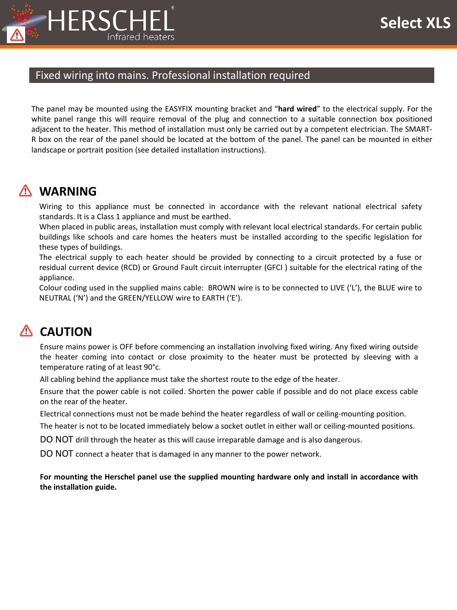

### Fixed wiring into mains. Professional installation required

The panel may be mounted using the EASYFIX mounting bracket and "**hard wired**" to the electrical supply. For the white panel range this will require removal of the plug and connection to a suitable connection box positioned adjacent to the heater. This method of installation must only be carried out by a competent electrician. The SMART-R box on the rear of the panel should be located at the bottom of the panel. The panel can be mounted in either landscape or portrait position (see detailed installation instructions).

## **WARNING**

Wiring to this appliance must be connected in accordance with the relevant national electrical safety standards. It is a Class 1 appliance and must be earthed.

When placed in public areas, installation must comply with relevant local electrical standards. For certain public buildings like schools and care homes the heaters must be installed according to the specific legislation for these types of buildings.

The electrical supply to each heater should be provided by connecting to a circuit protected by a fuse or residual current device (RCD) or Ground Fault circuit interrupter (GFCI ) suitable for the electrical rating of the appliance.

Colour coding used in the supplied mains cable: BROWN wire is to be connected to LIVE ('L'), the BLUE wire to NEUTRAL ('N') and the GREEN/YELLOW wire to EARTH ('E').

# **A** CAUTION

Ensure mains power is OFF before commencing an installation involving fixed wiring. Any fixed wiring outside the heater coming into contact or close proximity to the heater must be protected by sleeving with a temperature rating of at least 90°c.

All cabling behind the appliance must take the shortest route to the edge of the heater.

Ensure that the power cable is not coiled. Shorten the power cable if possible and do not place excess cable on the rear of the heater.

Electrical connections must not be made behind the heater regardless of wall or ceiling-mounting position.

The heater is not to be located immediately below a socket outlet in either wall or ceiling-mounted positions.

DO NOT drill through the heater as this will cause irreparable damage and is also dangerous.

DO NOT connect a heater that is damaged in any manner to the power network.

**For mounting the Herschel panel use the supplied mounting hardware only and install in accordance with the installation guide.**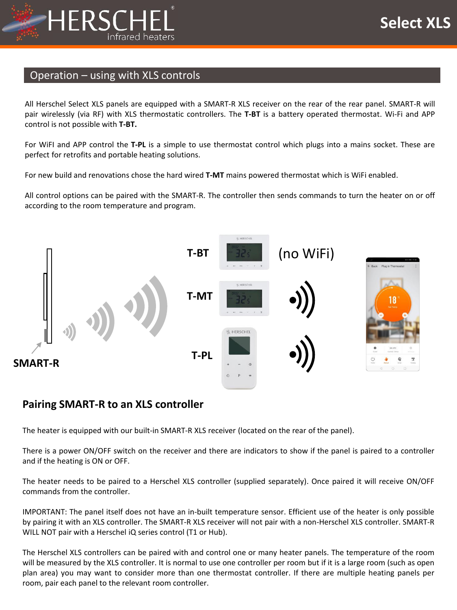

### Operation – using with XLS controls

All Herschel Select XLS panels are equipped with a SMART-R XLS receiver on the rear of the rear panel. SMART-R will pair wirelessly (via RF) with XLS thermostatic controllers. The **T-BT** is a battery operated thermostat. Wi-Fi and APP control is not possible with **T-BT.**

For WiFI and APP control the **T-PL** is a simple to use thermostat control which plugs into a mains socket. These are perfect for retrofits and portable heating solutions.

For new build and renovations chose the hard wired **T-MT** mains powered thermostat which is WiFi enabled.

All control options can be paired with the SMART-R. The controller then sends commands to turn the heater on or off according to the room temperature and program.



### **Pairing SMART-R to an XLS controller**

The heater is equipped with our built-in SMART-R XLS receiver (located on the rear of the panel).

There is a power ON/OFF switch on the receiver and there are indicators to show if the panel is paired to a controller and if the heating is ON or OFF.

The heater needs to be paired to a Herschel XLS controller (supplied separately). Once paired it will receive ON/OFF commands from the controller.

IMPORTANT: The panel itself does not have an in-built temperature sensor. Efficient use of the heater is only possible by pairing it with an XLS controller. The SMART-R XLS receiver will not pair with a non-Herschel XLS controller. SMART-R WILL NOT pair with a Herschel iQ series control (T1 or Hub).

The Herschel XLS controllers can be paired with and control one or many heater panels. The temperature of the room will be measured by the XLS controller. It is normal to use one controller per room but if it is a large room (such as open plan area) you may want to consider more than one thermostat controller. If there are multiple heating panels per room, pair each panel to the relevant room controller.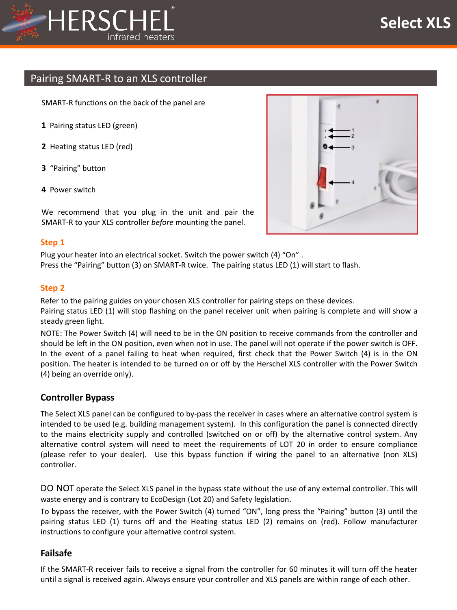

### Pairing SMART-R to an XLS controller

SMART-R functions on the back of the panel are

- **1** Pairing status LED (green)
- **2** Heating status LED (red)
- **3** "Pairing" button
- **4** Power switch

We recommend that you plug in the unit and pair the SMART-R to your XLS controller *before* mounting the panel.

#### **Step 1**

Plug your heater into an electrical socket. Switch the power switch (4) "On" . Press the "Pairing" button (3) on SMART-R twice. The pairing status LED (1) will start to flash.

#### **Step 2**

Refer to the pairing guides on your chosen XLS controller for pairing steps on these devices. Pairing status LED (1) will stop flashing on the panel receiver unit when pairing is complete and will show a steady green light.

NOTE: The Power Switch (4) will need to be in the ON position to receive commands from the controller and should be left in the ON position, even when not in use. The panel will not operate if the power switch is OFF. In the event of a panel failing to heat when required, first check that the Power Switch (4) is in the ON position. The heater is intended to be turned on or off by the Herschel XLS controller with the Power Switch (4) being an override only).

#### **Controller Bypass**

The Select XLS panel can be configured to by-pass the receiver in cases where an alternative control system is intended to be used (e.g. building management system). In this configuration the panel is connected directly to the mains electricity supply and controlled (switched on or off) by the alternative control system. Any alternative control system will need to meet the requirements of LOT 20 in order to ensure compliance (please refer to your dealer). Use this bypass function if wiring the panel to an alternative (non XLS) controller.

DO NOT operate the Select XLS panel in the bypass state without the use of any external controller. This will waste energy and is contrary to EcoDesign (Lot 20) and Safety legislation.

To bypass the receiver, with the Power Switch (4) turned "ON", long press the "Pairing" button (3) until the pairing status LED (1) turns off and the Heating status LED (2) remains on (red). Follow manufacturer instructions to configure your alternative control system.

#### **Failsafe**

If the SMART-R receiver fails to receive a signal from the controller for 60 minutes it will turn off the heater until a signal is received again. Always ensure your controller and XLS panels are within range of each other.

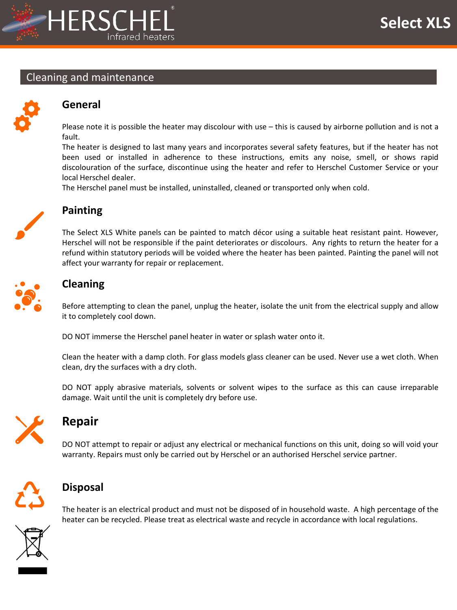

#### Cleaning and maintenance



### **General**

Please note it is possible the heater may discolour with use – this is caused by airborne pollution and is not a fault.

The heater is designed to last many years and incorporates several safety features, but if the heater has not been used or installed in adherence to these instructions, emits any noise, smell, or shows rapid discolouration of the surface, discontinue using the heater and refer to Herschel Customer Service or your local Herschel dealer.

The Herschel panel must be installed, uninstalled, cleaned or transported only when cold.



### **Painting**

The Select XLS White panels can be painted to match décor using a suitable heat resistant paint. However, Herschel will not be responsible if the paint deteriorates or discolours. Any rights to return the heater for a refund within statutory periods will be voided where the heater has been painted. Painting the panel will not affect your warranty for repair or replacement.



### **Cleaning**

Before attempting to clean the panel, unplug the heater, isolate the unit from the electrical supply and allow it to completely cool down.

DO NOT immerse the Herschel panel heater in water or splash water onto it.

Clean the heater with a damp cloth. For glass models glass cleaner can be used. Never use a wet cloth. When clean, dry the surfaces with a dry cloth.

DO NOT apply abrasive materials, solvents or solvent wipes to the surface as this can cause irreparable damage. Wait until the unit is completely dry before use.



## **Repair**

DO NOT attempt to repair or adjust any electrical or mechanical functions on this unit, doing so will void your warranty. Repairs must only be carried out by Herschel or an authorised Herschel service partner.



### **Disposal**

The heater is an electrical product and must not be disposed of in household waste. A high percentage of the heater can be recycled. Please treat as electrical waste and recycle in accordance with local regulations.

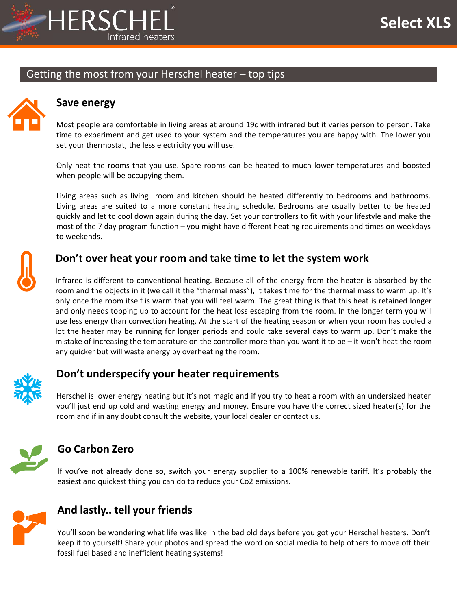

### Getting the most from your Herschel heater – top tips



### **Save energy**

Most people are comfortable in living areas at around 19c with infrared but it varies person to person. Take time to experiment and get used to your system and the temperatures you are happy with. The lower you set your thermostat, the less electricity you will use.

Only heat the rooms that you use. Spare rooms can be heated to much lower temperatures and boosted when people will be occupying them.

Living areas such as living room and kitchen should be heated differently to bedrooms and bathrooms. Living areas are suited to a more constant heating schedule. Bedrooms are usually better to be heated quickly and let to cool down again during the day. Set your controllers to fit with your lifestyle and make the most of the 7 day program function – you might have different heating requirements and times on weekdays to weekends.



### **Don't over heat your room and take time to let the system work**

Infrared is different to conventional heating. Because all of the energy from the heater is absorbed by the room and the objects in it (we call it the "thermal mass"), it takes time for the thermal mass to warm up. It's only once the room itself is warm that you will feel warm. The great thing is that this heat is retained longer and only needs topping up to account for the heat loss escaping from the room. In the longer term you will use less energy than convection heating. At the start of the heating season or when your room has cooled a lot the heater may be running for longer periods and could take several days to warm up. Don't make the mistake of increasing the temperature on the controller more than you want it to be – it won't heat the room any quicker but will waste energy by overheating the room.



### **Don't underspecify your heater requirements**

Herschel is lower energy heating but it's not magic and if you try to heat a room with an undersized heater you'll just end up cold and wasting energy and money. Ensure you have the correct sized heater(s) for the room and if in any doubt consult the website, your local dealer or contact us.



### **Go Carbon Zero**

If you've not already done so, switch your energy supplier to a 100% renewable tariff. It's probably the easiest and quickest thing you can do to reduce your Co2 emissions.



### **And lastly.. tell your friends**

You'll soon be wondering what life was like in the bad old days before you got your Herschel heaters. Don't keep it to yourself! Share your photos and spread the word on social media to help others to move off their fossil fuel based and inefficient heating systems!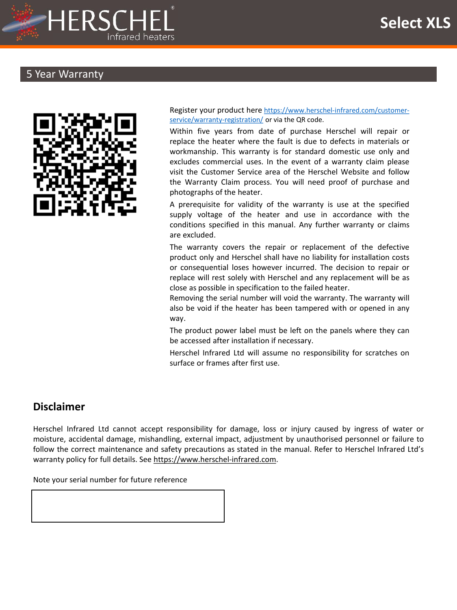

### 5 Year Warranty



Register your product here [https://www.herschel-infrared.com/customer](https://www.herschel-infrared.com/customer-service/warranty-registration/)service/warranty-registration/ or via the QR code.

Within five years from date of purchase Herschel will repair or replace the heater where the fault is due to defects in materials or workmanship. This warranty is for standard domestic use only and excludes commercial uses. In the event of a warranty claim please visit the Customer Service area of the Herschel Website and follow the Warranty Claim process. You will need proof of purchase and photographs of the heater.

A prerequisite for validity of the warranty is use at the specified supply voltage of the heater and use in accordance with the conditions specified in this manual. Any further warranty or claims are excluded.

The warranty covers the repair or replacement of the defective product only and Herschel shall have no liability for installation costs or consequential loses however incurred. The decision to repair or replace will rest solely with Herschel and any replacement will be as close as possible in specification to the failed heater.

Removing the serial number will void the warranty. The warranty will also be void if the heater has been tampered with or opened in any way.

The product power label must be left on the panels where they can be accessed after installation if necessary.

Herschel Infrared Ltd will assume no responsibility for scratches on surface or frames after first use.

### **Disclaimer**

Herschel Infrared Ltd cannot accept responsibility for damage, loss or injury caused by ingress of water or moisture, accidental damage, mishandling, external impact, adjustment by unauthorised personnel or failure to follow the correct maintenance and safety precautions as stated in the manual. Refer to Herschel Infrared Ltd's warranty policy for full details. See [https://www.herschel-infrared.com](https://www.herschel-infrared.com/).

Note your serial number for future reference

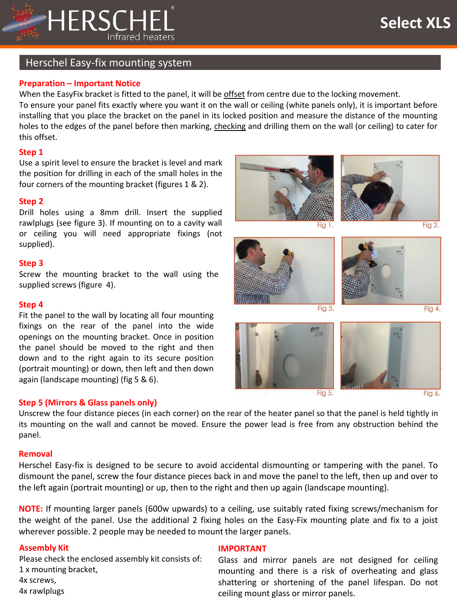

Fig 6.

### Herschel Easy-fix mounting system

#### **Preparation – Important Notice**

When the EasyFix bracket is fitted to the panel, it will be offset from centre due to the locking movement. To ensure your panel fits exactly where you want it on the wall or ceiling (white panels only), it is important before installing that you place the bracket on the panel in its locked position and measure the distance of the mounting holes to the edges of the panel before then marking, checking and drilling them on the wall (or ceiling) to cater for this offset.

#### **Step 1**

Use a spirit level to ensure the bracket is level and mark the position for drilling in each of the small holes in the four corners of the mounting bracket (figures 1 & 2).

#### **Step 2**

Drill holes using a 8mm drill. Insert the supplied rawlplugs (see figure 3). If mounting on to a cavity wall or ceiling you will need appropriate fixings (not supplied).

#### **Step 3**

Screw the mounting bracket to the wall using the supplied screws (figure 4).

#### **Step 4**

Fit the panel to the wall by locating all four mounting fixings on the rear of the panel into the wide openings on the mounting bracket. Once in position the panel should be moved to the right and then down and to the right again to its secure position (portrait mounting) or down, then left and then down again (landscape mounting) (fig 5 & 6).

#### **Step 5 (Mirrors & Glass panels only)**

Unscrew the four distance pieces (in each corner) on the rear of the heater panel so that the panel is held tightly in its mounting on the wall and cannot be moved. Ensure the power lead is free from any obstruction behind the panel.

#### **Removal**

Herschel Easy-fix is designed to be secure to avoid accidental dismounting or tampering with the panel. To dismount the panel, screw the four distance pieces back in and move the panel to the left, then up and over to the left again (portrait mounting) or up, then to the right and then up again (landscape mounting).

**NOTE:** If mounting larger panels (600w upwards) to a ceiling, use suitably rated fixing screws/mechanism for the weight of the panel. Use the additional 2 fixing holes on the Easy-Fix mounting plate and fix to a joist wherever possible. 2 people may be needed to mount the larger panels.

#### **Assembly Kit**

Please check the enclosed assembly kit consists of: 1 x mounting bracket, 4x screws, 4x rawlplugs

#### **IMPORTANT**

Glass and mirror panels are not designed for ceiling mounting and there is a risk of overheating and glass shattering or shortening of the panel lifespan. Do not ceiling mount glass or mirror panels.

Fig 5.